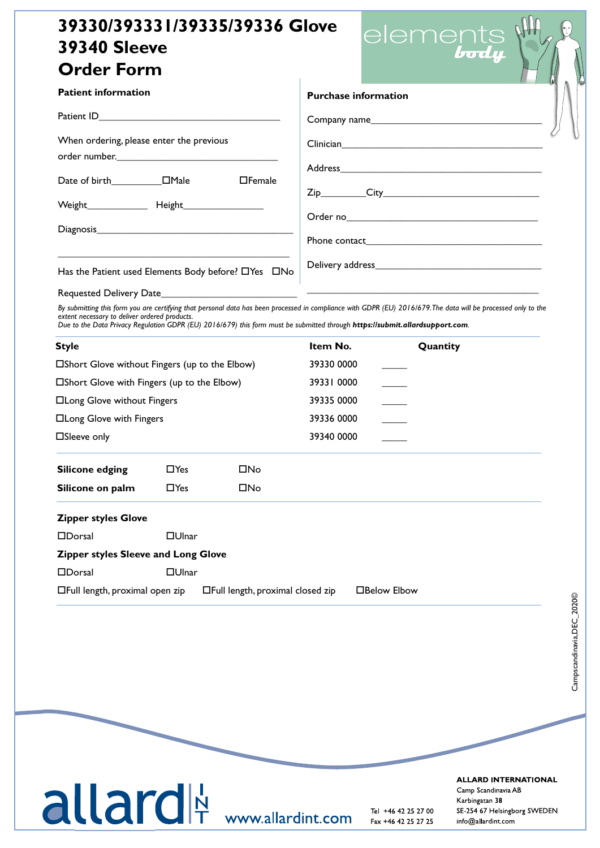## **39330/393331/39335/39336 Glove 39340 Sleeve Order Form**

|                                                      |                                                                                                                                                                                                                                | $\left  \mathbf{a} \right $ |
|------------------------------------------------------|--------------------------------------------------------------------------------------------------------------------------------------------------------------------------------------------------------------------------------|-----------------------------|
| <b>Patient information</b>                           | <b>Purchase information</b>                                                                                                                                                                                                    |                             |
|                                                      | Company name                                                                                                                                                                                                                   |                             |
| When ordering, please enter the previous             | Clinician Clinician Clinician Clinician Clinician Clinician Clinician Clinician Clinician Clinician Clinician C                                                                                                                |                             |
| $\Box$ Female                                        |                                                                                                                                                                                                                                |                             |
|                                                      |                                                                                                                                                                                                                                |                             |
|                                                      | Order no substitution of the state of the state of the state of the state of the state of the state of the state of the state of the state of the state of the state of the state of the state of the state of the state of th |                             |
|                                                      |                                                                                                                                                                                                                                |                             |
| Has the Patient used Elements Body before? O'Yes ONo |                                                                                                                                                                                                                                |                             |
|                                                      |                                                                                                                                                                                                                                |                             |

elements<br>**body** 

By submitting this form you are certifying that personal data has been processed in compliance with GDPR (EU) 2016/679. The data will be processed only to the *extent necessary to deliver ordered products. Due to the Data Privacy Regulation GDPR (EU) 2016/679) this form must be submitted through https://submit.allardsupport.com.*

| <b>Style</b><br>□Short Glove without Fingers (up to the Elbow)<br>□Short Glove with Fingers (up to the Elbow)<br>□Long Glove without Fingers<br>□Long Glove with Fingers |              |                                   | Item No.   | Quantity     |
|--------------------------------------------------------------------------------------------------------------------------------------------------------------------------|--------------|-----------------------------------|------------|--------------|
|                                                                                                                                                                          |              |                                   | 39330 0000 |              |
|                                                                                                                                                                          |              |                                   | 39331 0000 |              |
|                                                                                                                                                                          |              |                                   | 39335 0000 |              |
|                                                                                                                                                                          |              |                                   | 39336 0000 |              |
| □Sleeve only                                                                                                                                                             |              |                                   | 39340 0000 |              |
| <b>Silicone edging</b>                                                                                                                                                   | $\Box$ Yes   | <b>□No</b>                        |            |              |
| Silicone on palm                                                                                                                                                         | $\Box$ Yes   | $\square$ No                      |            |              |
| <b>Zipper styles Glove</b>                                                                                                                                               |              |                                   |            |              |
| $\Box$ Dorsal                                                                                                                                                            | $\Box$ Ulnar |                                   |            |              |
| Zipper styles Sleeve and Long Glove                                                                                                                                      |              |                                   |            |              |
| $\Box$ Dorsal                                                                                                                                                            | $\Box$ Ulnar |                                   |            |              |
| □Full length, proximal open zip                                                                                                                                          |              | □Full length, proximal closed zip |            | □Below Elbow |

## Tel E-post www.camp.se

11 12 12 12 12 12 13 13 146 42 25 27 00 15E-254 67 Helsingborg S WWW.AIIAI<sup>'</sup>QINU.COM Fax +46 42 25 27 25 info@allardint.com

**ALLARD INTERNATIONAL** 

Camp Scandinavia AB SVERIGE DANMARK FINLAND IN DER STATE DANMARK FINLAND IN DER STATE DANMARK FINLAND IN DER STATE DANMARK FINLAND